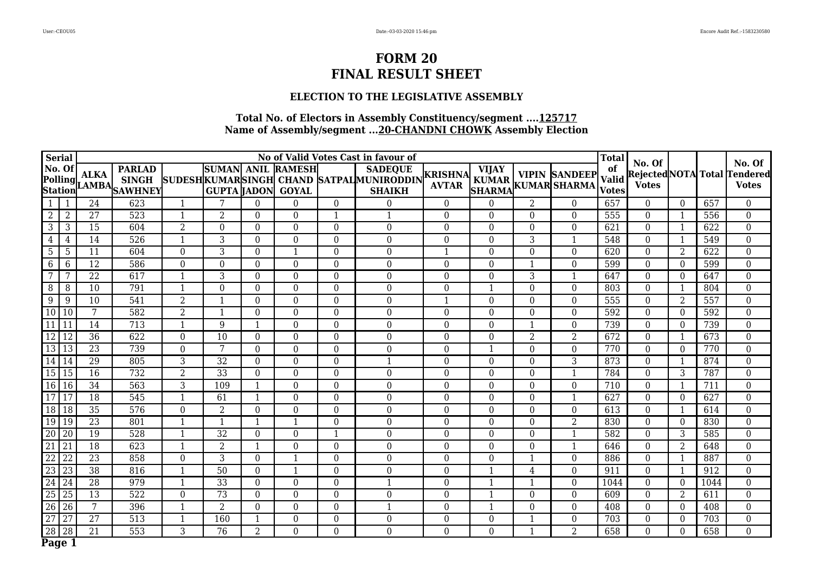### **ELECTION TO THE LEGISLATIVE ASSEMBLY**

|                   | <b>Serial</b>   |                 |                                      |                  |                                    |                  |                                    |                  | No of Valid Votes Cast in favour of                                        |                                |                               |                  |                                            | <b>Total</b>                       | No. Of           |                |      | No. Of                                       |
|-------------------|-----------------|-----------------|--------------------------------------|------------------|------------------------------------|------------------|------------------------------------|------------------|----------------------------------------------------------------------------|--------------------------------|-------------------------------|------------------|--------------------------------------------|------------------------------------|------------------|----------------|------|----------------------------------------------|
| No. Of            |                 | <b>ALKA</b>     | <b>PARLAD</b><br>Polling AMBA SHIVEY |                  | <b>SUMAN</b><br><b>GUPTA JADON</b> |                  | <b>ANIL RAMESH</b><br><b>GOYAL</b> |                  | <b>SADEQUE</b><br>SUDESHKUMARSINGH CHAND SATPALMUNIRODDIN<br><b>SHAIKH</b> | <b>KRISHNA</b><br><b>AVTAR</b> | <b>VIJAY</b><br><b>SHARMA</b> |                  | <b>VIPIN SANDEEP</b><br>KUMAR KUMAR SHARMA | of<br><b>Valid</b><br><b>Votes</b> | <b>Votes</b>     |                |      | Rejected NOTA Total Tendered<br><b>Votes</b> |
|                   | 1               | 24              | 623                                  | $\mathbf{1}$     | 7                                  | $\boldsymbol{0}$ | $\overline{0}$                     | $\overline{0}$   | $\theta$                                                                   | $\Omega$                       | $\theta$                      | $\overline{2}$   | $\overline{0}$                             | 657                                | $\Omega$         | $\Omega$       | 657  | $\boldsymbol{0}$                             |
| $2^{\circ}$       | $\overline{2}$  | 27              | 523                                  | $\mathbf{1}$     | $\overline{2}$                     | $\boldsymbol{0}$ | $\overline{0}$                     | $\mathbf{1}$     | $\mathbf{1}$                                                               | $\overline{0}$                 | $\mathbf{0}$                  | $\boldsymbol{0}$ | $\mathbf{0}$                               | 555                                | $\mathbf{0}$     | -1             | 556  | $\overline{0}$                               |
| 3                 | 3               | $\overline{15}$ | 604                                  | $\overline{2}$   | $\overline{0}$                     | $\overline{0}$   | $\overline{0}$                     | $\mathbf{0}$     | $\overline{0}$                                                             | $\mathbf{0}$                   | $\overline{0}$                | $\mathbf{0}$     | $\overline{0}$                             | 621                                | $\mathbf{0}$     | $\overline{1}$ | 622  | $\mathbf{0}$                                 |
| $\overline{4}$    | 4               | $\overline{14}$ | 526                                  | $\overline{1}$   | $\overline{3}$                     | $\overline{0}$   | $\overline{0}$                     | $\overline{0}$   | $\overline{0}$                                                             | $\overline{0}$                 | $\boldsymbol{0}$              | $\overline{3}$   | $\overline{1}$                             | 548                                | $\boldsymbol{0}$ | $\overline{1}$ | 549  | $\overline{0}$                               |
| 5 <sup>5</sup>    | 5               | 11              | 604                                  | $\boldsymbol{0}$ | 3                                  | $\boldsymbol{0}$ | $\mathbf{1}$                       | $\boldsymbol{0}$ | $\boldsymbol{0}$                                                           | $\mathbf{1}$                   | $\mathbf{0}$                  | $\mathbf 0$      | $\boldsymbol{0}$                           | 620                                | $\theta$         | 2              | 622  | $\boldsymbol{0}$                             |
| 6                 | 6               | $\overline{12}$ | 586                                  | $\boldsymbol{0}$ | $\boldsymbol{0}$                   | $\boldsymbol{0}$ | $\boldsymbol{0}$                   | $\mathbf{0}$     | $\mathbf{0}$                                                               | $\mathbf{0}$                   | $\mathbf{0}$                  | $\mathbf{1}$     | $\mathbf{0}$                               | 599                                | $\theta$         | $\theta$       | 599  | $\overline{0}$                               |
| 7                 | 7               | 22              | 617                                  | $\mathbf{1}$     | 3                                  | $\mathbf{0}$     | $\boldsymbol{0}$                   | $\mathbf{0}$     | $\boldsymbol{0}$                                                           | $\overline{0}$                 | 0                             | 3                | $\mathbf{1}$                               | 647                                | $\theta$         | $\Omega$       | 647  | $\boldsymbol{0}$                             |
| 8                 | 8               | $\overline{10}$ | 791                                  | $\mathbf{1}$     | $\mathbf{0}$                       | $\boldsymbol{0}$ | $\boldsymbol{0}$                   | $\boldsymbol{0}$ | $\boldsymbol{0}$                                                           | $\boldsymbol{0}$               |                               | $\boldsymbol{0}$ | $\mathbf{0}$                               | 803                                | $\mathbf{0}$     |                | 804  | $\overline{0}$                               |
| 9                 | 9               | 10              | 541                                  | $\overline{2}$   | $\overline{1}$                     | $\overline{0}$   | $\overline{0}$                     | $\overline{0}$   | $\overline{0}$                                                             | $\mathbf{1}$                   | $\boldsymbol{0}$              | $\overline{0}$   | $\overline{0}$                             | 555                                | $\boldsymbol{0}$ | $\overline{2}$ | 557  | $\overline{0}$                               |
| 10 10             |                 | $\overline{7}$  | 582                                  | $\overline{2}$   | $\mathbf{1}$                       | $\mathbf{0}$     | $\boldsymbol{0}$                   | $\mathbf{0}$     | $\mathbf{0}$                                                               | $\boldsymbol{0}$               | 0                             | $\boldsymbol{0}$ | $\mathbf 0$                                | 592                                | $\mathbf{0}$     | $\theta$       | 592  | $\boldsymbol{0}$                             |
| 11                | 11              | 14              | 713                                  | $\mathbf{1}$     | 9                                  | $\mathbf{1}$     | $\boldsymbol{0}$                   | $\mathbf{0}$     | $\boldsymbol{0}$                                                           | $\boldsymbol{0}$               | 0                             | $\mathbf{1}$     | $\mathbf{0}$                               | 739                                | $\mathbf{0}$     | $\theta$       | 739  | $\mathbf{0}$                                 |
| <b>12</b>         | 12              | 36              | 622                                  | $\overline{0}$   | 10                                 | $\boldsymbol{0}$ | $\boldsymbol{0}$                   | $\overline{0}$   | $\mathbf{0}$                                                               | $\mathbf{0}$                   | $\Omega$                      | $\overline{2}$   | $\overline{2}$                             | 672                                | $\theta$         | $\mathbf{1}$   | 673  | $\mathbf{0}$                                 |
| 13 13             |                 | $\overline{23}$ | 739                                  | $\boldsymbol{0}$ | 7                                  | $\boldsymbol{0}$ | $\boldsymbol{0}$                   | $\boldsymbol{0}$ | $\boldsymbol{0}$                                                           | $\boldsymbol{0}$               | 1                             | $\boldsymbol{0}$ | $\overline{0}$                             | 770                                | $\boldsymbol{0}$ | $\Omega$       | 770  | $\overline{0}$                               |
| 14                | 14              | 29              | 805                                  | $\mathbf{3}$     | $\overline{32}$                    | $\boldsymbol{0}$ | $\boldsymbol{0}$                   | $\boldsymbol{0}$ | $\mathbf{1}$                                                               | $\mathbf{0}$                   | $\boldsymbol{0}$              | $\boldsymbol{0}$ | $\overline{3}$                             | 873                                | $\boldsymbol{0}$ |                | 874  | $\boldsymbol{0}$                             |
| 15                | 15              | $\overline{16}$ | 732                                  | $\overline{2}$   | $\overline{33}$                    | $\boldsymbol{0}$ | $\boldsymbol{0}$                   | $\boldsymbol{0}$ | $\overline{0}$                                                             | $\boldsymbol{0}$               | $\boldsymbol{0}$              | $\boldsymbol{0}$ | $\mathbf{1}$                               | 784                                | $\mathbf{0}$     | 3              | 787  | $\overline{0}$                               |
| 16 16             |                 | $\overline{34}$ | 563                                  | $\overline{3}$   | 109                                | $\mathbf{1}$     | $\boldsymbol{0}$                   | $\mathbf{0}$     | $\boldsymbol{0}$                                                           | $\overline{0}$                 | $\mathbf{0}$                  | $\boldsymbol{0}$ | $\overline{0}$                             | 710                                | $\theta$         | $\mathbf{1}$   | 711  | $\boldsymbol{0}$                             |
| 17 17             |                 | $\overline{18}$ | 545                                  | $\mathbf{1}$     | 61                                 | $\mathbf{1}$     | $\overline{0}$                     | $\mathbf{0}$     | $\mathbf{0}$                                                               | $\overline{0}$                 | $\overline{0}$                | $\mathbf{0}$     | $\overline{1}$                             | 627                                | $\mathbf{0}$     | $\theta$       | 627  | $\overline{0}$                               |
| 18 18             |                 | $\overline{35}$ | 576                                  | $\overline{0}$   | $\overline{2}$                     | $\overline{0}$   | $\overline{0}$                     | $\overline{0}$   | $\overline{0}$                                                             | $\overline{0}$                 | $\boldsymbol{0}$              | $\overline{0}$   | $\overline{0}$                             | 613                                | $\boldsymbol{0}$ | $\mathbf{1}$   | 614  | $\overline{0}$                               |
| 19 19             |                 | 23              | 801                                  | $\overline{1}$   | $\overline{\mathbf{1}}$            | $\mathbf{1}$     | $\mathbf{1}$                       | $\boldsymbol{0}$ | $\boldsymbol{0}$                                                           | $\boldsymbol{0}$               | $\boldsymbol{0}$              | $\boldsymbol{0}$ | $\overline{2}$                             | 830                                | $\mathbf{0}$     | $\theta$       | 830  | $\boldsymbol{0}$                             |
| $20\overline{20}$ |                 | 19              | 528                                  | $\overline{1}$   | $\overline{32}$                    | $\overline{0}$   | $\overline{0}$                     | $\mathbf{1}$     | $\mathbf{0}$                                                               | $\mathbf{0}$                   | $\mathbf{0}$                  | $\mathbf{0}$     | $\mathbf{1}$                               | 582                                | $\mathbf{0}$     | 3              | 585  | $\overline{0}$                               |
| $\overline{21}$   | $\overline{21}$ | $\overline{18}$ | 623                                  | $\overline{1}$   | $\overline{2}$                     | $\mathbf{1}$     | $\boldsymbol{0}$                   | $\mathbf{0}$     | $\mathbf{0}$                                                               | $\mathbf{0}$                   | $\mathbf{0}$                  | $\mathbf 0$      | $\mathbf{1}$                               | 646                                | $\mathbf{0}$     | $\overline{2}$ | 648  | $\boldsymbol{0}$                             |
| $\overline{22}$   | $\overline{22}$ | $\overline{23}$ | 858                                  | $\boldsymbol{0}$ | $\overline{3}$                     | $\mathbf{0}$     | $\mathbf{1}$                       | $\mathbf{0}$     | $\overline{0}$                                                             | $\boldsymbol{0}$               | $\boldsymbol{0}$              | $\mathbf{1}$     | $\overline{0}$                             | 886                                | $\mathbf{0}$     |                | 887  | $\overline{0}$                               |
| 23                | 23              | 38              | 816                                  | $\mathbf{1}$     | 50                                 | $\boldsymbol{0}$ | $\mathbf{1}$                       | $\boldsymbol{0}$ | $\boldsymbol{0}$                                                           | $\boldsymbol{0}$               | $\mathbf{1}$                  | $\overline{4}$   | $\mathbf{0}$                               | 911                                | $\mathbf{0}$     | $\overline{1}$ | 912  | $\boldsymbol{0}$                             |
| 24                | 24              | $\overline{28}$ | 979                                  | $\mathbf{1}$     | $\overline{33}$                    | $\overline{0}$   | $\overline{0}$                     | $\boldsymbol{0}$ | $\mathbf{1}$                                                               | $\overline{0}$                 | $\mathbf{1}$                  | 1                | $\boldsymbol{0}$                           | 1044                               | $\mathbf{0}$     | $\Omega$       | 1044 | $\mathbf{0}$                                 |
| 25 25             |                 | $\overline{13}$ | 522                                  | $\boldsymbol{0}$ | $\overline{73}$                    | $\boldsymbol{0}$ | $\boldsymbol{0}$                   | $\mathbf{0}$     | $\boldsymbol{0}$                                                           | $\mathbf{0}$                   | 1                             | $\mathbf 0$      | $\mathbf{0}$                               | 609                                | $\theta$         | $\overline{2}$ | 611  | $\mathbf{0}$                                 |
| 26                | $\sqrt{26}$     | 7               | 396                                  | $\mathbf{1}$     | $\overline{2}$                     | $\boldsymbol{0}$ | $\overline{0}$                     | $\mathbf{0}$     | $\overline{1}$                                                             | $\overline{0}$                 | 1                             | $\mathbf{0}$     | $\overline{0}$                             | 408                                | $\mathbf{0}$     | $\Omega$       | 408  | $\overline{0}$                               |
| $\overline{27}$   | $\overline{27}$ | $\overline{27}$ | $\overline{513}$                     | $\overline{1}$   | 160                                | $\mathbf{1}$     | $\boldsymbol{0}$                   | $\boldsymbol{0}$ | $\overline{0}$                                                             | $\overline{0}$                 | $\boldsymbol{0}$              | $\mathbf{1}$     | $\overline{0}$                             | 703                                | $\boldsymbol{0}$ | $\Omega$       | 703  | $\overline{0}$                               |
| 28                | 28              | 21              | 553                                  | 3                | 76                                 | $\overline{2}$   | $\overline{0}$                     | $\overline{0}$   | $\overline{0}$                                                             | $\mathbf{0}$                   | $\overline{0}$                | $\mathbf{1}$     | $\overline{2}$                             | 658                                | $\overline{0}$   | $\Omega$       | 658  | $\mathbf 0$                                  |
| Page 1            |                 |                 |                                      |                  |                                    |                  |                                    |                  |                                                                            |                                |                               |                  |                                            |                                    |                  |                |      |                                              |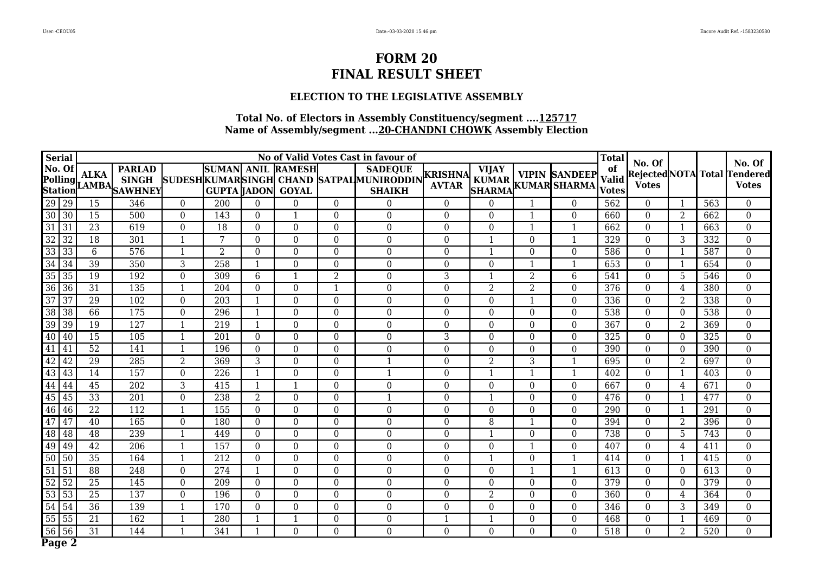### **ELECTION TO THE LEGISLATIVE ASSEMBLY**

|                 | <b>Serial</b>                                                        |                 |                                                |                  |                                  |                  |                               |                  | No of Valid Votes Cast in favour of                                        |                         |                  |                  |                                                                    | <b>Total</b>                       | No. Of           |                          |     | No. Of                                              |
|-----------------|----------------------------------------------------------------------|-----------------|------------------------------------------------|------------------|----------------------------------|------------------|-------------------------------|------------------|----------------------------------------------------------------------------|-------------------------|------------------|------------------|--------------------------------------------------------------------|------------------------------------|------------------|--------------------------|-----|-----------------------------------------------------|
|                 | No. Of<br>$\left \text{Polling}\right _{\text{I}}$<br><b>Station</b> | <b>ALKA</b>     | <b>PARLAD</b><br><b>SINGH</b><br>LAMBA SAWHNEY |                  | SUMAN ANIL<br><b>GUPTA JADON</b> |                  | <b>RAMESH</b><br><b>GOYAL</b> |                  | <b>SADEQUE</b><br>SUDESHKUMARSINGH CHAND SATPALMUNIRODDIN<br><b>SHAIKH</b> | KRISHNA<br><b>AVTAR</b> | <b>VIJAY</b>     |                  | <b>VIPIN SANDEEP</b><br>KUMAR VIPIN SANDEEP<br>SHARMA KUMAR SHARMA | of<br><b>Valid</b><br><b>Votes</b> | <b>Votes</b>     |                          |     | <b>Rejected NOTA</b> Total Tendered<br><b>Votes</b> |
|                 | 29 29                                                                | 15              | 346                                            | $\boldsymbol{0}$ | 200                              | $\boldsymbol{0}$ | $\boldsymbol{0}$              | $\overline{0}$   | $\boldsymbol{0}$                                                           | $\mathbf{0}$            | 0                | $\mathbf{1}$     | $\boldsymbol{0}$                                                   | 562                                | $\Omega$         |                          | 563 | $\overline{0}$                                      |
|                 | $30 30$                                                              | 15              | 500                                            | $\boldsymbol{0}$ | 143                              | $\boldsymbol{0}$ | 1                             | $\overline{0}$   | $\boldsymbol{0}$                                                           | $\boldsymbol{0}$        | $\overline{0}$   | $\mathbf{1}$     | $\boldsymbol{0}$                                                   | 660                                | $\Omega$         | 2                        | 662 | $\overline{0}$                                      |
|                 | $31 \mid 31$                                                         | $\overline{23}$ | 619                                            | $\boldsymbol{0}$ | 18                               | $\boldsymbol{0}$ | $\mathbf{0}$                  | $\boldsymbol{0}$ | $\overline{0}$                                                             | $\mathbf{0}$            | $\boldsymbol{0}$ | 1                | $\mathbf{1}$                                                       | 662                                | $\Omega$         | $\overline{1}$           | 663 | $\boldsymbol{0}$                                    |
| $\overline{32}$ | $\overline{32}$                                                      | $\overline{18}$ | 301                                            | $\overline{1}$   | 7                                | $\boldsymbol{0}$ | $\overline{0}$                | $\boldsymbol{0}$ | $\overline{0}$                                                             | $\mathbf{0}$            | $\mathbf{1}$     | $\mathbf{0}$     | $\mathbf{1}$                                                       | 329                                | $\mathbf{0}$     | 3                        | 332 | $\overline{0}$                                      |
| 33              | $\overline{33}$                                                      | 6               | 576                                            | $\overline{1}$   | $\overline{2}$                   | $\boldsymbol{0}$ | $\mathbf 0$                   | $\boldsymbol{0}$ | $\mathbf{0}$                                                               | $\mathbf{0}$            | $\mathbf{1}$     | $\boldsymbol{0}$ | $\mathbf 0$                                                        | 586                                | $\boldsymbol{0}$ | $\overline{\phantom{0}}$ | 587 | $\boldsymbol{0}$                                    |
| 34              | 34                                                                   | 39              | 350                                            | $\overline{3}$   | 258                              | $\mathbf{1}$     | $\mathbf{0}$                  | $\overline{0}$   | $\Omega$                                                                   | $\boldsymbol{0}$        | $\mathbf 0$      | $\mathbf{1}$     | $\mathbf{1}$                                                       | 653                                | $\boldsymbol{0}$ | $\overline{1}$           | 654 | $\overline{0}$                                      |
| 35              | 35                                                                   | $\overline{19}$ | 192                                            | $\overline{0}$   | 309                              | $\sqrt{6}$       | 1                             | $\overline{2}$   | $\mathbf{0}$                                                               | 3                       | 1                | $\overline{2}$   | $6\phantom{.}6$                                                    | 541                                | $\mathbf{0}$     | 5                        | 546 | $\overline{0}$                                      |
| 36              | $\overline{36}$                                                      | $\overline{31}$ | 135                                            | $\mathbf{1}$     | $\overline{204}$                 | $\boldsymbol{0}$ | $\boldsymbol{0}$              | $\mathbf{1}$     | $\mathbf{0}$                                                               | $\boldsymbol{0}$        | $\overline{2}$   | $\overline{2}$   | $\mathbf{0}$                                                       | 376                                | $\Omega$         | $\overline{4}$           | 380 | $\overline{0}$                                      |
| 37              | $\overline{37}$                                                      | $\overline{29}$ | 102                                            | $\overline{0}$   | 203                              | $\mathbf{1}$     | $\mathbf{0}$                  | $\boldsymbol{0}$ | $\overline{0}$                                                             | $\mathbf{0}$            | $\overline{0}$   | $\mathbf{1}$     | $\mathbf{0}$                                                       | 336                                | $\mathbf{0}$     | $\overline{2}$           | 338 | $\overline{0}$                                      |
|                 | 38 38                                                                | 66              | 175                                            | $\mathbf 0$      | 296                              | $\mathbf{1}$     | $\boldsymbol{0}$              | $\boldsymbol{0}$ | $\mathbf{0}$                                                               | $\boldsymbol{0}$        | $\mathbf{0}$     | $\mathbf{0}$     | $\mathbf 0$                                                        | 538                                | $\mathbf{0}$     | $\Omega$                 | 538 | $\overline{0}$                                      |
| 39              | 39                                                                   | 19              | 127                                            | $\overline{1}$   | 219                              | $\mathbf{1}$     | $\boldsymbol{0}$              | $\boldsymbol{0}$ | $\mathbf{0}$                                                               | $\boldsymbol{0}$        | $\mathbf 0$      | $\boldsymbol{0}$ | $\boldsymbol{0}$                                                   | 367                                | $\mathbf{0}$     | $\overline{2}$           | 369 | $\overline{0}$                                      |
| 40              | 40                                                                   | 15              | 105                                            | $\overline{1}$   | 201                              | $\overline{0}$   | $\boldsymbol{0}$              | $\boldsymbol{0}$ | $\boldsymbol{0}$                                                           | 3                       | 0                | $\boldsymbol{0}$ | $\boldsymbol{0}$                                                   | 325                                | $\boldsymbol{0}$ | $\Omega$                 | 325 | $\boldsymbol{0}$                                    |
|                 | 41 41                                                                | $\overline{52}$ | 141                                            | $\overline{1}$   | 196                              | $\boldsymbol{0}$ | $\boldsymbol{0}$              | $\overline{0}$   | $\Omega$                                                                   | $\boldsymbol{0}$        | $\overline{0}$   | $\mathbf{0}$     | $\boldsymbol{0}$                                                   | 390                                | $\Omega$         | $\Omega$                 | 390 | $\overline{0}$                                      |
| 42              | 42                                                                   | $\overline{29}$ | 285                                            | $\overline{2}$   | 369                              | $\mathbf{3}$     | $\mathbf{0}$                  | $\boldsymbol{0}$ | $\mathbf{1}$                                                               | $\Omega$                | $\overline{2}$   | $\mathbf{3}$     | $\mathbf{1}$                                                       | 695                                | $\mathbf{0}$     | $\overline{2}$           | 697 | $\boldsymbol{0}$                                    |
|                 | $43 \mid 43$                                                         | $\overline{14}$ | 157                                            | $\overline{0}$   | $\overline{226}$                 | $\mathbf{1}$     | $\overline{0}$                | $\boldsymbol{0}$ | $\mathbf{1}$                                                               | $\mathbf{0}$            | $\mathbf{1}$     | $\mathbf{1}$     | $\mathbf{1}$                                                       | 402                                | $\mathbf{0}$     | $\overline{1}$           | 403 | $\overline{0}$                                      |
| 44              | 44                                                                   | $\overline{45}$ | 202                                            | $\mathbf{3}$     | 415                              | $\mathbf{1}$     | 1                             | $\boldsymbol{0}$ | $\overline{0}$                                                             | $\boldsymbol{0}$        | $\mathbf 0$      | $\boldsymbol{0}$ | $\overline{0}$                                                     | 667                                | $\boldsymbol{0}$ | $\overline{4}$           | 671 | $\boldsymbol{0}$                                    |
|                 | 45 45                                                                | $\overline{33}$ | $\overline{201}$                               | $\boldsymbol{0}$ | 238                              | $\overline{2}$   | $\boldsymbol{0}$              | $\overline{0}$   | $\mathbf{1}$                                                               | $\boldsymbol{0}$        | $\mathbf{1}$     | $\mathbf{0}$     | $\boldsymbol{0}$                                                   | 476                                | $\mathbf{0}$     | $\overline{1}$           | 477 | $\overline{0}$                                      |
|                 | 46 46                                                                | $\overline{22}$ | 112                                            | $\overline{1}$   | 155                              | $\boldsymbol{0}$ | $\mathbf{0}$                  | $\boldsymbol{0}$ | $\overline{0}$                                                             | $\boldsymbol{0}$        | $\mathbf 0$      | $\boldsymbol{0}$ | $\boldsymbol{0}$                                                   | 290                                | $\mathbf{0}$     | $\overline{\phantom{0}}$ | 291 | $\overline{0}$                                      |
| 47              | 47                                                                   | 40              | 165                                            | $\overline{0}$   | 180                              | $\boldsymbol{0}$ | $\boldsymbol{0}$              | $\boldsymbol{0}$ | $\mathbf{0}$                                                               | $\boldsymbol{0}$        | $\overline{8}$   | $\mathbf{1}$     | $\boldsymbol{0}$                                                   | 394                                | $\Omega$         | $\overline{2}$           | 396 | $\mathbf 0$                                         |
|                 | $48 \overline{)48}$                                                  | 48              | 239                                            | $\overline{1}$   | 449                              | $\overline{0}$   | $\overline{0}$                | $\mathbf{0}$     | $\Omega$                                                                   | $\Omega$                | $\mathbf{1}$     | $\overline{0}$   | $\mathbf{0}$                                                       | 738                                | $\Omega$         | 5                        | 743 | $\overline{0}$                                      |
|                 | 49 49                                                                | $\overline{42}$ | 206                                            | $\mathbf{1}$     | 157                              | $\boldsymbol{0}$ | $\boldsymbol{0}$              | $\boldsymbol{0}$ | $\mathbf{0}$                                                               | $\boldsymbol{0}$        | $\mathbf 0$      | $\mathbf{1}$     | $\mathbf 0$                                                        | 407                                | $\boldsymbol{0}$ | 4                        | 411 | $\overline{0}$                                      |
|                 | 50 50                                                                | 35              | 164                                            | $\mathbf{1}$     | 212                              | $\boldsymbol{0}$ | $\boldsymbol{0}$              | $\boldsymbol{0}$ | $\mathbf{0}$                                                               | $\mathbf{0}$            | $\mathbf{1}$     | $\boldsymbol{0}$ | $\mathbf{1}$                                                       | 414                                | $\boldsymbol{0}$ | $\overline{\phantom{0}}$ | 415 | $\boldsymbol{0}$                                    |
| 51              | 51                                                                   | $\overline{88}$ | 248                                            | $\boldsymbol{0}$ | 274                              | $\mathbf{1}$     | $\boldsymbol{0}$              | $\boldsymbol{0}$ | $\boldsymbol{0}$                                                           | $\boldsymbol{0}$        | 0                | $\mathbf{1}$     | $\mathbf{1}$                                                       | 613                                | $\boldsymbol{0}$ | $\Omega$                 | 613 | $\boldsymbol{0}$                                    |
|                 | $52\overline{)52}$                                                   | $\overline{25}$ | 145                                            | $\boldsymbol{0}$ | 209                              | $\overline{0}$   | $\boldsymbol{0}$              | $\overline{0}$   | $\Omega$                                                                   | $\boldsymbol{0}$        | $\overline{0}$   | $\overline{0}$   | $\boldsymbol{0}$                                                   | 379                                | $\Omega$         | $\Omega$                 | 379 | $\overline{0}$                                      |
|                 | 53 53                                                                | 25              | 137                                            | $\overline{0}$   | 196                              | $\boldsymbol{0}$ | $\mathbf{0}$                  | $\boldsymbol{0}$ | $\overline{0}$                                                             | $\mathbf{0}$            | $\overline{2}$   | $\mathbf{0}$     | $\mathbf{0}$                                                       | 360                                | $\Omega$         | 4                        | 364 | $\boldsymbol{0}$                                    |
|                 | $54 \overline{)54}$                                                  | $\overline{36}$ | 139                                            | $\overline{1}$   | $\overline{170}$                 | $\boldsymbol{0}$ | $\overline{0}$                | $\boldsymbol{0}$ | $\overline{0}$                                                             | $\mathbf{0}$            | $\overline{0}$   | $\overline{0}$   | $\overline{0}$                                                     | 346                                | $\mathbf{0}$     | 3                        | 349 | $\overline{0}$                                      |
| 55              | $\overline{55}$                                                      | $\overline{21}$ | 162                                            | $\overline{1}$   | 280                              | $\mathbf{1}$     | 1                             | $\boldsymbol{0}$ | $\mathbf{0}$                                                               | $\mathbf{1}$            | $\mathbf{1}$     | $\boldsymbol{0}$ | $\overline{0}$                                                     | 468                                | $\boldsymbol{0}$ | $\overline{\phantom{0}}$ | 469 | $\overline{0}$                                      |
| 56              | 56                                                                   | 31              | 144                                            | $\overline{1}$   | 341                              | $\mathbf{1}$     | $\mathbf{0}$                  | $\overline{0}$   | $\overline{0}$                                                             | $\mathbf{0}$            | $\boldsymbol{0}$ | $\mathbf{0}$     | $\overline{0}$                                                     | 518                                | $\overline{0}$   | $\overline{2}$           | 520 | $\overline{0}$                                      |
|                 | Page 2                                                               |                 |                                                |                  |                                  |                  |                               |                  |                                                                            |                         |                  |                  |                                                                    |                                    |                  |                          |     |                                                     |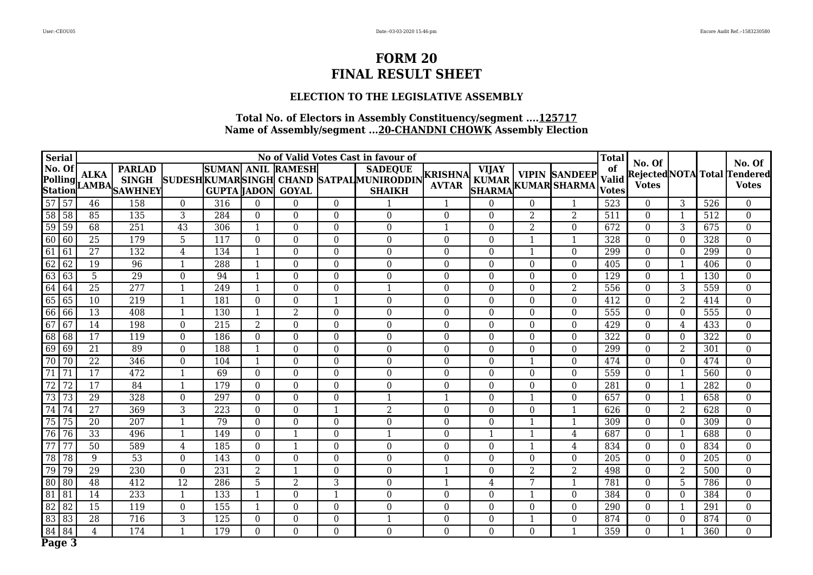### **ELECTION TO THE LEGISLATIVE ASSEMBLY**

|                 | <b>Serial</b>             |                 |                                      |                          |                    |                  |                                          |                  | No of Valid Votes Cast in favour of                                        |                         |                  |                  |                                                                       | <b>Total</b>                 | No. Of           |                          |                  | No. Of                                              |
|-----------------|---------------------------|-----------------|--------------------------------------|--------------------------|--------------------|------------------|------------------------------------------|------------------|----------------------------------------------------------------------------|-------------------------|------------------|------------------|-----------------------------------------------------------------------|------------------------------|------------------|--------------------------|------------------|-----------------------------------------------------|
|                 | No. Of                    | <b>ALKA</b>     | <b>PARLAD</b><br>Polling AMBA SHIVEY |                          | <b>GUPTA JADON</b> |                  | <b>SUMAN ANIL RAMESH</b><br><b>GOYAL</b> |                  | <b>SADEQUE</b><br>SUDESHKUMARSINGH CHAND SATPALMUNIRODDIN<br><b>SHAIKH</b> | KRISHNA<br><b>AVTAR</b> | <b>VIJAY</b>     |                  | <b>VIPIN SANDEEP</b><br>KUMAR   VIPIN SANDEEP<br> SHARMA KUMAR SHARMA | of<br><b>Valid</b><br>Votes' | <b>Votes</b>     |                          |                  | <b>Rejected NOTA</b> Total Tendered<br><b>Votes</b> |
|                 | 57 57                     | 46              | 158                                  | $\mathbf{0}$             | 316                | $\overline{0}$   | $\theta$                                 | $\overline{0}$   |                                                                            | 1                       | $\Omega$         | $\overline{0}$   |                                                                       | 523                          | $\Omega$         | 3                        | 526              | $\overline{0}$                                      |
|                 | $58$ 58                   | 85              | 135                                  | $\overline{3}$           | 284                | $\overline{0}$   | $\mathbf{0}$                             | $\overline{0}$   | $\overline{0}$                                                             | $\mathbf{0}$            | $\overline{0}$   | $\overline{2}$   | $\overline{2}$                                                        | 511                          | $\Omega$         | $\overline{\phantom{0}}$ | 512              | $\overline{0}$                                      |
|                 | 59 59                     | $\overline{68}$ | $\overline{251}$                     | $\overline{43}$          | 306                | $\mathbf{1}$     | $\mathbf 0$                              | $\boldsymbol{0}$ | $\mathbf{0}$                                                               | $\mathbf{1}$            | $\mathbf{0}$     | $\overline{2}$   | $\mathbf 0$                                                           | 672                          | $\boldsymbol{0}$ | 3                        | 675              | $\overline{0}$                                      |
|                 | 60 60                     | $\overline{25}$ | 179                                  | $\overline{5}$           | 117                | $\boldsymbol{0}$ | $\boldsymbol{0}$                         | $\boldsymbol{0}$ | $\mathbf{0}$                                                               | $\boldsymbol{0}$        | $\boldsymbol{0}$ | $\mathbf{1}$     | $\mathbf{1}$                                                          | 328                          | $\boldsymbol{0}$ | $\Omega$                 | 328              | $\overline{0}$                                      |
| $61$ 61         |                           | $\overline{27}$ | 132                                  | 4                        | 134                | $\mathbf{1}$     | $\mathbf{0}$                             | $\boldsymbol{0}$ | $\overline{0}$                                                             | $\Omega$                | $\overline{0}$   | $\mathbf{1}$     | $\mathbf{0}$                                                          | 299                          | $\Omega$         | $\Omega$                 | 299              | $\boldsymbol{0}$                                    |
| 62              | $\overline{62}$           | 19              | 96                                   | $\overline{\phantom{0}}$ | 288                | $\mathbf{1}$     | $\mathbf{0}$                             | $\boldsymbol{0}$ | $\overline{0}$                                                             | $\mathbf{0}$            | $\overline{0}$   | $\mathbf{0}$     | $\boldsymbol{0}$                                                      | 405                          | $\Omega$         | $\overline{\phantom{0}}$ | 406              | $\overline{0}$                                      |
|                 | $63 63$                   | 5               | 29                                   | $\overline{0}$           | 94                 | $\mathbf{1}$     | $\overline{0}$                           | $\overline{0}$   | $\overline{0}$                                                             | $\boldsymbol{0}$        | $\overline{0}$   | $\overline{0}$   | $\overline{0}$                                                        | 129                          | $\boldsymbol{0}$ | $\overline{1}$           | 130              | $\overline{0}$                                      |
| 64              | 64                        | $\overline{25}$ | $\overline{277}$                     | $\overline{1}$           | 249                | $\mathbf{1}$     | $\boldsymbol{0}$                         | $\boldsymbol{0}$ | $\mathbf{1}$                                                               | $\boldsymbol{0}$        | $\boldsymbol{0}$ | $\boldsymbol{0}$ | $\overline{2}$                                                        | 556                          | $\boldsymbol{0}$ | 3                        | 559              | $\boldsymbol{0}$                                    |
|                 | 65 65                     | 10              | 219                                  | $\overline{1}$           | 181                | $\boldsymbol{0}$ | $\boldsymbol{0}$                         | 1                | $\mathbf{0}$                                                               | $\boldsymbol{0}$        | $\overline{0}$   | $\overline{0}$   | $\boldsymbol{0}$                                                      | 412                          | $\Omega$         | 2                        | 414              | $\overline{0}$                                      |
|                 | $66$ 66                   | $\overline{13}$ | $\overline{408}$                     | $\overline{1}$           | $\overline{130}$   | $\mathbf{1}$     | $\overline{2}$                           | $\boldsymbol{0}$ | $\overline{0}$                                                             | $\mathbf{0}$            | $\mathbf 0$      | $\mathbf{0}$     | $\boldsymbol{0}$                                                      | 555                          | $\Omega$         | $\Omega$                 | $\overline{555}$ | $\boldsymbol{0}$                                    |
| 67              | 67                        | 14              | 198                                  | $\boldsymbol{0}$         | $\overline{215}$   | $\overline{2}$   | $\boldsymbol{0}$                         | $\boldsymbol{0}$ | $\mathbf{0}$                                                               | $\boldsymbol{0}$        | $\mathbf 0$      | $\mathbf{0}$     | $\boldsymbol{0}$                                                      | 429                          | $\boldsymbol{0}$ | $\overline{4}$           | 433              | $\overline{0}$                                      |
|                 | 68 68                     | 17              | 119                                  | $\mathbf{0}$             | 186                | $\mathbf 0$      | $\mathbf 0$                              | $\mathbf{0}$     | $\mathbf{0}$                                                               | $\boldsymbol{0}$        | $\mathbf 0$      | $\boldsymbol{0}$ | $\mathbf 0$                                                           | 322                          | $\mathbf{0}$     | $\overline{0}$           | 322              | $\mathbf 0$                                         |
|                 | 69 69                     | 21              | 89                                   | $\boldsymbol{0}$         | 188                | $\mathbf{1}$     | $\mathbf{0}$                             | $\overline{0}$   | $\overline{0}$                                                             | $\mathbf{0}$            | $\mathbf 0$      | $\mathbf{0}$     | $\boldsymbol{0}$                                                      | 299                          | $\mathbf{0}$     | $\overline{2}$           | 301              | $\overline{0}$                                      |
|                 | 70 70                     | $\overline{22}$ | 346                                  | $\mathbf 0$              | 104                | $\mathbf{1}$     | $\overline{0}$                           | $\boldsymbol{0}$ | $\overline{0}$                                                             | $\overline{0}$          | $\mathbf 0$      | $\mathbf{1}$     | $\mathbf 0$                                                           | 474                          | $\mathbf{0}$     | $\Omega$                 | 474              | $\boldsymbol{0}$                                    |
| 71              | 71                        | $\overline{17}$ | 472                                  | $\overline{1}$           | 69                 | $\boldsymbol{0}$ | $\boldsymbol{0}$                         | $\overline{0}$   | $\overline{0}$                                                             | $\boldsymbol{0}$        | $\mathbf 0$      | $\mathbf{0}$     | $\overline{0}$                                                        | 559                          | $\boldsymbol{0}$ | $\overline{\phantom{0}}$ | 560              | $\overline{0}$                                      |
| 72              | $\overline{72}$           | 17              | 84                                   | $\overline{1}$           | 179                | $\overline{0}$   | $\overline{0}$                           | $\mathbf{0}$     | $\overline{0}$                                                             | $\mathbf{0}$            | $\boldsymbol{0}$ | $\mathbf{0}$     | $\overline{0}$                                                        | 281                          | $\mathbf{0}$     | $\overline{1}$           | 282              | $\boldsymbol{0}$                                    |
|                 | $\boxed{73}$ $\boxed{73}$ | 29              | 328                                  | $\boldsymbol{0}$         | $\overline{297}$   | $\boldsymbol{0}$ | $\mathbf{0}$                             | $\overline{0}$   | $\mathbf{1}$                                                               | $\mathbf{1}$            | $\boldsymbol{0}$ | $\mathbf{1}$     | $\boldsymbol{0}$                                                      | 657                          | $\Omega$         | $\overline{\phantom{0}}$ | 658              | $\overline{0}$                                      |
| 74              | $\overline{74}$           | $\overline{27}$ | 369                                  | $\overline{3}$           | $\overline{223}$   | $\overline{0}$   | $\overline{0}$                           | $\mathbf{1}$     | $\overline{2}$                                                             | $\mathbf{0}$            | $\overline{0}$   | $\overline{0}$   | $\mathbf{1}$                                                          | 626                          | $\mathbf{0}$     | $\overline{2}$           | 628              | $\overline{0}$                                      |
| $\overline{75}$ | 75                        | $\overline{20}$ | $\overline{207}$                     | $\overline{1}$           | 79                 | $\boldsymbol{0}$ | $\mathbf{0}$                             | $\boldsymbol{0}$ | $\mathbf{0}$                                                               | $\mathbf{0}$            | $\overline{0}$   | $\mathbf{1}$     | $\mathbf{1}$                                                          | 309                          | $\Omega$         | $\theta$                 | 309              | $\overline{0}$                                      |
| 76              | 76                        | 33              | 496                                  | $\overline{1}$           | 149                | $\overline{0}$   | $\mathbf{1}$                             | $\boldsymbol{0}$ | $\mathbf{1}$                                                               | $\boldsymbol{0}$        | $\mathbf{1}$     | $\mathbf{1}$     | $\overline{4}$                                                        | 687                          | $\mathbf{0}$     | $\overline{1}$           | 688              | $\overline{0}$                                      |
| 77              | $\overline{77}$           | $\overline{50}$ | 589                                  | $\overline{4}$           | 185                | $\boldsymbol{0}$ | 1                                        | $\boldsymbol{0}$ | $\mathbf{0}$                                                               | $\boldsymbol{0}$        | 0                | $\mathbf{1}$     | $\overline{4}$                                                        | 834                          | $\Omega$         | $\Omega$                 | 834              | $\overline{0}$                                      |
| 78              | 78                        | 9               | $\overline{53}$                      | $\boldsymbol{0}$         | 143                | $\boldsymbol{0}$ | $\boldsymbol{0}$                         | $\boldsymbol{0}$ | $\mathbf{0}$                                                               | $\boldsymbol{0}$        | $\mathbf 0$      | $\overline{0}$   | $\boldsymbol{0}$                                                      | $\overline{205}$             | $\Omega$         | $\Omega$                 | 205              | $\overline{0}$                                      |
| 79              | 79                        | $\overline{29}$ | 230                                  | $\mathbf{0}$             | 231                | $\overline{2}$   | $\mathbf{1}$                             | $\boldsymbol{0}$ | $\overline{0}$                                                             | $\mathbf{1}$            | $\Omega$         | $\overline{2}$   | $\overline{2}$                                                        | 498                          | $\Omega$         | 2                        | 500              | $\boldsymbol{0}$                                    |
|                 | 80 80                     | 48              | $\overline{412}$                     | $\overline{12}$          | 286                | 5                | 2                                        | 3                | $\mathbf{0}$                                                               | $\mathbf{1}$            | $\overline{4}$   | 7                | $\mathbf{1}$                                                          | 781                          | $\mathbf{0}$     | 5                        | 786              | $\boldsymbol{0}$                                    |
| 81 81           |                           | 14              | 233                                  | $\mathbf{1}$             | 133                | $\mathbf{1}$     | $\mathbf{0}$                             | $\mathbf{1}$     | $\overline{0}$                                                             | $\mathbf{0}$            | $\mathbf 0$      | $\mathbf{1}$     | $\mathbf{0}$                                                          | 384                          | $\Omega$         | $\theta$                 | 384              | $\boldsymbol{0}$                                    |
|                 | $82$ 82                   | $\overline{15}$ | 119                                  | $\overline{0}$           | 155                | $\mathbf{1}$     | $\overline{0}$                           | $\boldsymbol{0}$ | $\overline{0}$                                                             | $\mathbf{0}$            | $\overline{0}$   | $\boldsymbol{0}$ | $\overline{0}$                                                        | $\overline{290}$             | $\mathbf{0}$     | $\overline{\phantom{0}}$ | 291              | $\overline{0}$                                      |
|                 | $83 83$                   | $\overline{28}$ | 716                                  | $\overline{3}$           | $\overline{125}$   | $\overline{0}$   | $\overline{0}$                           | $\boldsymbol{0}$ | $\mathbf{1}$                                                               | $\mathbf{0}$            | $\mathbf 0$      | $\mathbf{1}$     | $\overline{0}$                                                        | 874                          | $\mathbf{0}$     | $\Omega$                 | 874              | $\overline{0}$                                      |
| 84              | 84                        | $\overline{4}$  | 174                                  | $\overline{1}$           | 179                | $\overline{0}$   | $\overline{0}$                           | $\overline{0}$   | $\overline{0}$                                                             | $\overline{0}$          | $\overline{0}$   | $\mathbf 0$      | $\mathbf{1}$                                                          | 359                          | $\overline{0}$   | $\overline{\phantom{0}}$ | 360              | $\overline{0}$                                      |
|                 | Page 3                    |                 |                                      |                          |                    |                  |                                          |                  |                                                                            |                         |                  |                  |                                                                       |                              |                  |                          |                  |                                                     |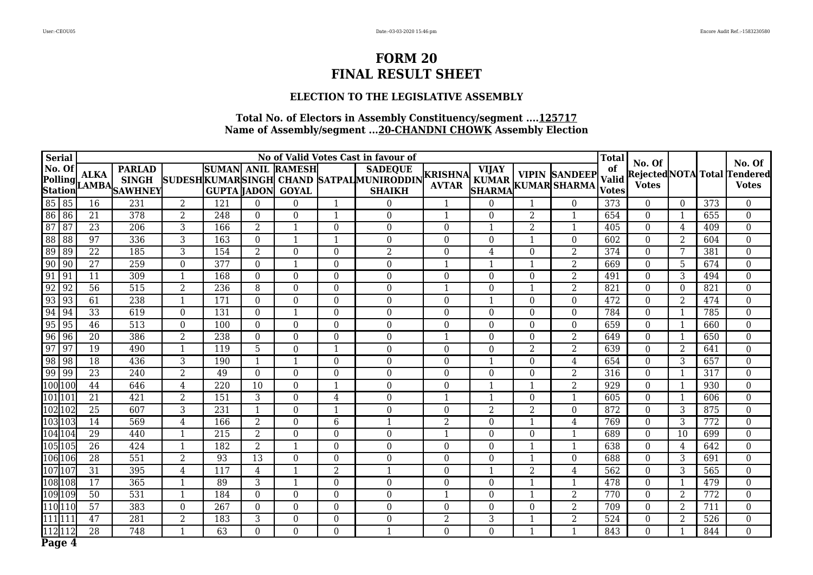### **ELECTION TO THE LEGISLATIVE ASSEMBLY**

|         | <b>Serial</b>             |                 |                                      |                          |                                    |                  |                                    |                  | No of Valid Votes Cast in favour of                                        |                         |                               |                  |                                            | <b>Total</b>                | No. Of           |                |                  | No. Of                                       |
|---------|---------------------------|-----------------|--------------------------------------|--------------------------|------------------------------------|------------------|------------------------------------|------------------|----------------------------------------------------------------------------|-------------------------|-------------------------------|------------------|--------------------------------------------|-----------------------------|------------------|----------------|------------------|----------------------------------------------|
|         | No. Of                    | <b>ALKA</b>     | <b>PARLAD</b><br>Polling AMBA SHIVEY |                          | <b>SUMAN</b><br><b>GUPTA JADON</b> |                  | <b>ANIL RAMESH</b><br><b>GOYAL</b> |                  | <b>SADEQUE</b><br>SUDESHKUMARSINGH CHAND SATPALMUNIRODDIN<br><b>SHAIKH</b> | KRISHNA<br><b>AVTAR</b> | <b>VIJAY</b><br><b>SHARMA</b> |                  | <b>VIPIN SANDEEP</b><br>KUMAR KUMAR SHARMA | of<br>Valid<br><b>Votes</b> | <b>Votes</b>     |                |                  | Rejected NOTA Total Tendered<br><b>Votes</b> |
|         | 85 85                     | 16              | 231                                  | $\overline{2}$           | 121                                | $\boldsymbol{0}$ | $\boldsymbol{0}$                   | $\mathbf{1}$     | $\boldsymbol{0}$                                                           | 1                       | $\theta$                      | 1                | $\overline{0}$                             | 373                         | $\theta$         | $\theta$       | 373              | $\overline{0}$                               |
|         | 86 86                     | 21              | 378                                  | $\overline{2}$           | 248                                | $\overline{0}$   | $\overline{0}$                     | $\mathbf{1}$     | $\boldsymbol{0}$                                                           | 1                       | $\Omega$                      | $\overline{2}$   | $\mathbf{1}$                               | 654                         | $\theta$         | -1             | 655              | $\overline{0}$                               |
|         | 87 87                     | 23              | 206                                  | 3                        | 166                                | $\overline{2}$   | $\mathbf{1}$                       | $\mathbf{0}$     | $\mathbf{0}$                                                               | $\overline{0}$          | 1                             | $\overline{2}$   | $\mathbf{1}$                               | 405                         | $\theta$         | 4              | 409              | $\mathbf{0}$                                 |
|         | 88 88                     | $\overline{97}$ | 336                                  | $\overline{3}$           | 163                                | $\boldsymbol{0}$ | $\mathbf{1}$                       | $\mathbf{1}$     | $\boldsymbol{0}$                                                           | $\mathbf{0}$            | $\boldsymbol{0}$              | $\mathbf{1}$     | $\mathbf{0}$                               | 602                         | $\mathbf{0}$     | $\overline{2}$ | 604              | $\overline{0}$                               |
|         | 89 89                     | $\overline{22}$ | 185                                  | $\overline{3}$           | 154                                | $\overline{2}$   | $\mathbf{0}$                       | $\boldsymbol{0}$ | $\overline{2}$                                                             | $\mathbf 0$             | $\overline{4}$                | $\mathbf 0$      | $\overline{2}$                             | 374                         | $\mathbf{0}$     | 7              | 381              | $\boldsymbol{0}$                             |
| 90      | $\sqrt{90}$               | $\overline{27}$ | 259                                  | $\boldsymbol{0}$         | 377                                | $\overline{0}$   | 1                                  | $\mathbf{0}$     | $\boldsymbol{0}$                                                           | $\mathbf{1}$            | 1                             | $\mathbf{1}$     | $\overline{2}$                             | 669                         | $\bf{0}$         | 5              | 674              | $\overline{0}$                               |
| $91$ 91 |                           | $\overline{11}$ | 309                                  | $\overline{1}$           | 168                                | $\boldsymbol{0}$ | $\boldsymbol{0}$                   | $\boldsymbol{0}$ | $\boldsymbol{0}$                                                           | $\overline{0}$          | 0                             | $\boldsymbol{0}$ | $\overline{2}$                             | 491                         | $\theta$         | 3              | 494              | $\boldsymbol{0}$                             |
|         | 92 92                     | $\overline{56}$ | $\overline{515}$                     | $\overline{2}$           | 236                                | 8                | $\boldsymbol{0}$                   | $\boldsymbol{0}$ | $\boldsymbol{0}$                                                           | $\mathbf{1}$            | $\boldsymbol{0}$              | $\mathbf{1}$     | $\overline{2}$                             | 821                         | $\bf{0}$         | $\theta$       | 821              | $\mathbf{0}$                                 |
|         | 93 93                     | 61              | 238                                  | $\overline{1}$           | 171                                | $\overline{0}$   | $\boldsymbol{0}$                   | $\mathbf{0}$     | $\mathbf{0}$                                                               | $\overline{0}$          | 1                             | $\mathbf{0}$     | $\overline{0}$                             | 472                         | $\overline{0}$   | 2              | 474              | $\overline{0}$                               |
| 94      | $\sqrt{94}$               | $\overline{33}$ | 619                                  | $\boldsymbol{0}$         | 131                                | $\mathbf 0$      | $\mathbf{1}$                       | $\mathbf{0}$     | $\mathbf{0}$                                                               | $\mathbf{0}$            | 0                             | $\boldsymbol{0}$ | $\mathbf 0$                                | 784                         | $\mathbf{0}$     |                | 785              | $\boldsymbol{0}$                             |
| 95      | $\sqrt{95}$               | 46              | 513                                  | $\boldsymbol{0}$         | 100                                | $\boldsymbol{0}$ | $\boldsymbol{0}$                   | $\boldsymbol{0}$ | $\mathbf{0}$                                                               | $\boldsymbol{0}$        | $\boldsymbol{0}$              | $\boldsymbol{0}$ | $\boldsymbol{0}$                           | 659                         | $\boldsymbol{0}$ | $\overline{1}$ | 660              | $\boldsymbol{0}$                             |
| 96      | 96                        | $\overline{20}$ | 386                                  | $\overline{2}$           | 238                                | $\boldsymbol{0}$ | $\boldsymbol{0}$                   | $\boldsymbol{0}$ | $\boldsymbol{0}$                                                           | $\mathbf{1}$            | 0                             | $\boldsymbol{0}$ | $\overline{2}$                             | 649                         | $\bf{0}$         |                | 650              | $\boldsymbol{0}$                             |
| 97      | $\sqrt{97}$               | 19              | 490                                  | $\overline{1}$           | 119                                | $\overline{5}$   | $\boldsymbol{0}$                   | $\mathbf{1}$     | $\boldsymbol{0}$                                                           | $\Omega$                | $\mathbf{0}$                  | $\overline{2}$   | $\overline{2}$                             | 639                         | $\bf{0}$         | 2              | 641              | $\mathbf{0}$                                 |
|         | 98 98                     | 18              | 436                                  | 3                        | 190                                | $\mathbf{1}$     | $\mathbf{1}$                       | $\mathbf{0}$     | $\boldsymbol{0}$                                                           | $\theta$                | 1                             | $\mathbf{0}$     | 4                                          | 654                         | $\Omega$         | 3              | 657              | $\boldsymbol{0}$                             |
|         | $\boxed{99}$ $\boxed{99}$ | $\overline{23}$ | 240                                  | $\overline{2}$           | 49                                 | $\boldsymbol{0}$ | $\boldsymbol{0}$                   | $\mathbf{0}$     | $\boldsymbol{0}$                                                           | $\mathbf{0}$            | $\overline{0}$                | $\boldsymbol{0}$ | $\overline{2}$                             | 316                         | $\theta$         |                | 317              | $\mathbf{0}$                                 |
|         | 100 100                   | 44              | 646                                  | $\overline{4}$           | 220                                | 10               | $\boldsymbol{0}$                   | 1                | $\boldsymbol{0}$                                                           | $\overline{0}$          |                               | -1               | $\overline{2}$                             | 929                         | $\mathbf{0}$     | -1             | 930              | $\boldsymbol{0}$                             |
|         | 101 101                   | 21              | 421                                  | $\overline{2}$           | 151                                | $\overline{3}$   | $\boldsymbol{0}$                   | $\overline{4}$   | $\boldsymbol{0}$                                                           | $\mathbf{1}$            | 1                             | $\boldsymbol{0}$ | $\mathbf{1}$                               | 605                         | $\boldsymbol{0}$ | $\overline{1}$ | 606              | $\overline{0}$                               |
|         | 102 102                   | 25              | 607                                  | 3                        | $\overline{231}$                   | $\mathbf{1}$     | $\boldsymbol{0}$                   | $\mathbf{1}$     | $\boldsymbol{0}$                                                           | $\mathbf{0}$            | $\overline{2}$                | $\overline{2}$   | $\mathbf{0}$                               | 872                         | $\mathbf{0}$     | 3              | 875              | $\mathbf{0}$                                 |
|         | 103 103                   | $\overline{14}$ | 569                                  | $\overline{4}$           | 166                                | $\overline{2}$   | $\boldsymbol{0}$                   | $\overline{6}$   | $\overline{1}$                                                             | $\overline{2}$          | $\mathbf{0}$                  | $\mathbf{1}$     | $\overline{4}$                             | 769                         | $\theta$         | 3              | 772              | $\boldsymbol{0}$                             |
|         | 104 104                   | 29              | 440                                  | $\mathbf{1}$             | $\overline{215}$                   | $\overline{2}$   | $\overline{0}$                     | $\mathbf{0}$     | $\mathbf{0}$                                                               | $\mathbf{1}$            | $\mathbf{0}$                  | $\overline{0}$   | $\mathbf{1}$                               | 689                         | $\mathbf{0}$     | 10             | 699              | $\overline{0}$                               |
|         | 105 105                   | $\overline{26}$ | 424                                  | $\overline{\phantom{0}}$ | 182                                | $\overline{2}$   | 1                                  | $\mathbf{0}$     | $\mathbf{0}$                                                               | $\boldsymbol{0}$        | 0                             | $\mathbf{1}$     | $\mathbf{1}$                               | 638                         | $\boldsymbol{0}$ | $\overline{4}$ | 642              | $\boldsymbol{0}$                             |
|         | 106 106                   | $\overline{28}$ | 551                                  | $\overline{2}$           | 93                                 | $\overline{13}$  | $\boldsymbol{0}$                   | $\boldsymbol{0}$ | $\boldsymbol{0}$                                                           | $\boldsymbol{0}$        | $\boldsymbol{0}$              | 1                | $\boldsymbol{0}$                           | 688                         | $\boldsymbol{0}$ | 3              | 691              | $\boldsymbol{0}$                             |
|         | 107107                    | 31              | 395                                  | $\overline{4}$           | 117                                | $\overline{4}$   | $\mathbf{1}$                       | $\overline{2}$   | $\mathbf{1}$                                                               | $\boldsymbol{0}$        | 1                             | $\overline{2}$   | $\overline{4}$                             | 562                         | $\theta$         | 3              | 565              | $\boldsymbol{0}$                             |
|         | 108 108                   | $\overline{17}$ | 365                                  | 1                        | 89                                 | 3                | 1                                  | $\overline{0}$   | $\boldsymbol{0}$                                                           | $\boldsymbol{0}$        | 0                             | 1                | $\mathbf{1}$                               | 478                         | $\boldsymbol{0}$ | -1             | 479              | $\mathbf{0}$                                 |
|         | 109109                    | 50              | 531                                  | $\overline{1}$           | 184                                | $\boldsymbol{0}$ | $\boldsymbol{0}$                   | $\mathbf{0}$     | $\mathbf{0}$                                                               | $\mathbf{1}$            | $\mathbf{0}$                  | $\mathbf{1}$     | $\overline{2}$                             | 770                         | $\Omega$         | 2              | 772              | $\mathbf{0}$                                 |
|         | 110 110                   | $\overline{57}$ | 383                                  | $\overline{0}$           | 267                                | $\boldsymbol{0}$ | $\overline{0}$                     | $\mathbf{0}$     | $\boldsymbol{0}$                                                           | $\mathbf{0}$            | $\overline{0}$                | $\mathbf{0}$     | $\overline{2}$                             | $\overline{709}$            | $\mathbf{0}$     | $\overline{2}$ | $\overline{711}$ | $\overline{0}$                               |
|         | 111111                    | $\overline{47}$ | 281                                  | $\overline{2}$           | 183                                | $\overline{3}$   | $\boldsymbol{0}$                   | $\boldsymbol{0}$ | $\boldsymbol{0}$                                                           | $\overline{2}$          | $\overline{3}$                | $\mathbf{1}$     | $\overline{2}$                             | 524                         | $\boldsymbol{0}$ | $\overline{2}$ | 526              | $\overline{0}$                               |
|         | 112112                    | $\overline{28}$ | 748                                  | $\overline{1}$           | 63                                 | $\overline{0}$   | $\overline{0}$                     | $\mathbf{0}$     | $\overline{1}$                                                             | $\overline{0}$          | $\boldsymbol{0}$              | $\mathbf{1}$     | $\mathbf{1}$                               | 843                         | $\mathbf{0}$     |                | 844              | $\mathbf{0}$                                 |
|         | Page 4                    |                 |                                      |                          |                                    |                  |                                    |                  |                                                                            |                         |                               |                  |                                            |                             |                  |                |                  |                                              |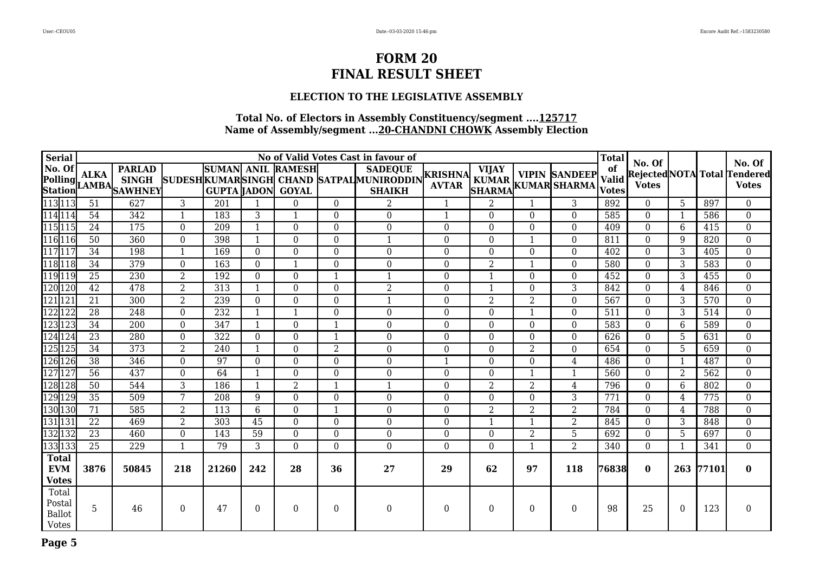### **ELECTION TO THE LEGISLATIVE ASSEMBLY**

| <b>Serial</b>                                    | No of Valid Votes Cast in favour of |                                                                   |                  |                  |                  |                                          |                  |                                                                                      |                  |                |                  |                                                                                |                    |                        |                          |       | No. Of                                              |
|--------------------------------------------------|-------------------------------------|-------------------------------------------------------------------|------------------|------------------|------------------|------------------------------------------|------------------|--------------------------------------------------------------------------------------|------------------|----------------|------------------|--------------------------------------------------------------------------------|--------------------|------------------------|--------------------------|-------|-----------------------------------------------------|
|                                                  |                                     | No. Of ALKA PARLAD<br>Polling ALKA SINGH<br>Station LAMBA SAWHNEY |                  | GUPTA  JADON     |                  | <b>SUMAN ANIL RAMESH</b><br><b>GOYAL</b> |                  | <b>SADEQUE</b><br>SUDESH KUMARSINGH CHAND SATPAL MUNIRODDIN KRISHNA<br><b>SHAIKH</b> |                  | <b>VIJAY</b>   |                  | <b>VIPIN SANDEEP</b><br>KUMAR KUMAR SANDEEP Valid<br>SHARMA KUMAR SHARMA Votes | of<br><b>Valid</b> | No. Of<br><b>Votes</b> |                          |       | <b>Rejected NOTA</b> Total Tendered<br><b>Votes</b> |
| 113 113                                          | 51                                  | 627                                                               | $\overline{3}$   | $\overline{201}$ | $\mathbf{1}$     | $\Omega$                                 | $\Omega$         | $\overline{\mathcal{L}}$                                                             | $\mathbf{1}$     | $\overline{2}$ | $\mathbf{1}$     | 3                                                                              | 892                | $\Omega$               | 5                        | 897   | $\Omega$                                            |
| 114 114                                          | 54                                  | 342                                                               | $\mathbf{1}$     | 183              | 3                |                                          | $\overline{0}$   | $\boldsymbol{0}$                                                                     | $\mathbf{1}$     | $\overline{0}$ | $\boldsymbol{0}$ | $\mathbf{0}$                                                                   | 585                | $\mathbf{0}$           | -1                       | 586   | $\mathbf{0}$                                        |
| 115 115                                          | 24                                  | 175                                                               | $\overline{0}$   | 209              | $\mathbf{1}$     | 0                                        | $\overline{0}$   | $\overline{0}$                                                                       | $\mathbf{0}$     | $\theta$       | $\mathbf{0}$     | $\mathbf{0}$                                                                   | 409                | $\Omega$               | 6                        | 415   | $\overline{0}$                                      |
| 116 116                                          | 50                                  | 360                                                               | $\overline{0}$   | 398              | $\mathbf{1}$     | 0                                        | $\overline{0}$   | $\overline{\mathbf{1}}$                                                              | $\Omega$         | $\Omega$       | $\mathbf 1$      | $\mathbf{0}$                                                                   | 811                | $\Omega$               | 9                        | 820   | $\overline{0}$                                      |
| 117 117                                          | 34                                  | 198                                                               | $\mathbf{1}$     | 169              | $\theta$         | 0                                        | $\boldsymbol{0}$ | 0                                                                                    | $\mathbf{0}$     | $\theta$       | $\boldsymbol{0}$ | $\boldsymbol{0}$                                                               | 402                | $\mathbf{0}$           | 3                        | 405   | $\boldsymbol{0}$                                    |
| 118 118                                          | 34                                  | 379                                                               | $\overline{0}$   | 163              | $\theta$         |                                          | $\overline{0}$   | $\overline{0}$                                                                       | $\mathbf{0}$     | $\overline{2}$ | $\mathbf{1}$     | $\mathbf{0}$                                                                   | 580                | $\mathbf{0}$           | 3                        | 583   | $\overline{0}$                                      |
| 119 119                                          | 25                                  | 230                                                               | $\overline{2}$   | 192              | $\overline{0}$   | 0                                        |                  | $\overline{1}$                                                                       | $\mathbf{0}$     |                | $\boldsymbol{0}$ | $\boldsymbol{0}$                                                               | 452                | $\mathbf{0}$           | 3                        | 455   | $\overline{0}$                                      |
| 120 120                                          | $\overline{42}$                     | 478                                                               | 2                | $\overline{313}$ | $\mathbf{1}$     | $\Omega$                                 | $\overline{0}$   | $\overline{2}$                                                                       | $\mathbf{0}$     |                | $\mathbf{0}$     | $\overline{3}$                                                                 | 842                | $\Omega$               | 4                        | 846   | $\overline{0}$                                      |
| 121 121                                          | 21                                  | 300                                                               | $\overline{2}$   | 239              | $\overline{0}$   | 0                                        | $\overline{0}$   | $\mathbf{1}$                                                                         | $\Omega$         | $\overline{2}$ | $\overline{2}$   | $\mathbf{0}$                                                                   | 567                | $\Omega$               | 3                        | 570   | $\overline{0}$                                      |
| 122 122                                          | $\overline{28}$                     | $\overline{248}$                                                  | $\boldsymbol{0}$ | 232              | $\mathbf{1}$     | 1                                        | $\boldsymbol{0}$ | $\boldsymbol{0}$                                                                     | $\boldsymbol{0}$ | $\theta$       | $\mathbf{1}$     | $\boldsymbol{0}$                                                               | 511                | $\Omega$               | 3                        | 514   | $\overline{0}$                                      |
| 123 123                                          | 34                                  | 200                                                               | $\overline{0}$   | 347              | $\mathbf{1}$     | $\Omega$                                 | -1               | $\overline{0}$                                                                       | $\Omega$         | $\Omega$       | $\overline{0}$   | $\boldsymbol{0}$                                                               | 583                | $\Omega$               | 6                        | 589   | $\overline{0}$                                      |
| 124 124                                          | 23                                  | 280                                                               | $\overline{0}$   | 322              | $\overline{0}$   | 0                                        |                  | $\overline{0}$                                                                       | $\mathbf{0}$     | $\overline{0}$ | $\boldsymbol{0}$ | $\mathbf{0}$                                                                   | 626                | $\overline{0}$         | 5                        | 631   | $\overline{0}$                                      |
| 125 125                                          | 34                                  | 373                                                               | $\overline{2}$   | $\overline{240}$ | 1                | $\Omega$                                 | $\overline{2}$   | $\overline{0}$                                                                       | $\mathbf{0}$     | $\theta$       | $\overline{2}$   | $\Omega$                                                                       | 654                | $\Omega$               | 5                        | 659   | $\overline{0}$                                      |
| 126 126                                          | 38                                  | 346                                                               | $\Omega$         | 97               | $\Omega$         | $\overline{0}$                           | $\Omega$         | $\theta$                                                                             | $\mathbf{1}$     | $\Omega$       | $\Omega$         | 4                                                                              | 486                | $\Omega$               | $\overline{\phantom{0}}$ | 487   | $\overline{0}$                                      |
| 127 127                                          | $\overline{56}$                     | 437                                                               | $\overline{0}$   | 64               | $\mathbf{1}$     | $\overline{0}$                           | $\mathbf{0}$     | $\overline{0}$                                                                       | $\overline{0}$   | $\theta$       | $\mathbf{1}$     | $\mathbf{1}$                                                                   | 560                | $\Omega$               | $\overline{2}$           | 562   | $\overline{0}$                                      |
| 128 128                                          | 50                                  | 544                                                               | 3                | 186              | $\mathbf{1}$     | 2                                        | $\mathbf{1}$     | $\overline{1}$                                                                       | $\Omega$         | $\overline{2}$ | $\overline{2}$   | $\overline{4}$                                                                 | 796                | $\Omega$               | 6                        | 802   | $\overline{0}$                                      |
| 129 129                                          | $\overline{35}$                     | 509                                                               | $7\phantom{.0}$  | $\overline{208}$ | 9                | $\overline{0}$                           | $\overline{0}$   | $\overline{0}$                                                                       | $\mathbf{0}$     | $\mathbf{0}$   | $\boldsymbol{0}$ | $\overline{3}$                                                                 | $\overline{771}$   | $\Omega$               | 4                        | 775   | $\overline{0}$                                      |
| 130 130                                          | 71                                  | 585                                                               | $\overline{2}$   | 113              | 6                | $\Omega$                                 | $\mathbf{1}$     | $\overline{0}$                                                                       | $\mathbf{0}$     | $\overline{2}$ | $\overline{2}$   | $\overline{2}$                                                                 | 784                | $\Omega$               | 4                        | 788   | $\theta$                                            |
| 131 131                                          | $\overline{22}$                     | 469                                                               | $\overline{2}$   | 303              | $\overline{45}$  | $\Omega$                                 | $\overline{0}$   | $\overline{0}$                                                                       | $\Omega$         |                | $\mathbf 1$      | 2                                                                              | 845                | $\Omega$               | 3                        | 848   | $\overline{0}$                                      |
| 132 132                                          | 23                                  | 460                                                               | $\overline{0}$   | 143              | 59               | 0                                        | $\boldsymbol{0}$ | $\mathbf{0}$                                                                         | $\Omega$         | $\theta$       | $\overline{2}$   | $\overline{5}$                                                                 | 692                | $\Omega$               | 5                        | 697   | $\boldsymbol{0}$                                    |
| 133 133                                          | 25                                  | 229                                                               | $\mathbf{1}$     | 79               | 3                | $\Omega$                                 | $\overline{0}$   | $\overline{0}$                                                                       | $\Omega$         | $\Omega$       | $\mathbf{1}$     | $\overline{2}$                                                                 | 340                | $\Omega$               | -1                       | 341   | $\overline{0}$                                      |
| <b>Total</b><br><b>EVM</b><br><b>Votes</b>       | 3876                                | 50845                                                             | 218              | 21260            | 242              | 28                                       | 36               | 27                                                                                   | 29               | 62             | 97               | 118                                                                            | 76838              | $\mathbf{0}$           | 263                      | 77101 | $\mathbf{0}$                                        |
| Total<br>Postal<br><b>Ballot</b><br><b>Votes</b> | 5                                   | 46                                                                | $\boldsymbol{0}$ | 47               | $\boldsymbol{0}$ | $\Omega$                                 | $\boldsymbol{0}$ | $\boldsymbol{0}$                                                                     | $\boldsymbol{0}$ | $\Omega$       | $\boldsymbol{0}$ | $\boldsymbol{0}$                                                               | 98                 | 25                     | $\Omega$                 | 123   | $\boldsymbol{0}$                                    |